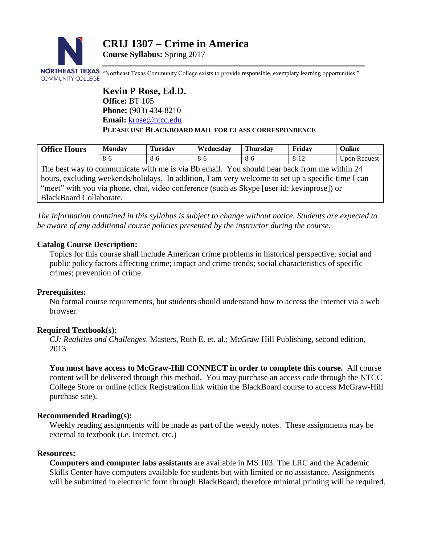

**Course Syllabus:** Spring 2017

NORTHEAST TEXAS "Northeast Texas Community College exists to provide responsible, exemplary learning opportunities." **COMMUNITY COLLEGE** 

> **Kevin P Rose, Ed.D. Office:** BT 105 **Phone:** (903) 434-8210 Email: [krose@ntcc.edu](mailto:krose@ntcc.edu) **PLEASE USE BLACKBOARD MAIL FOR CLASS CORRESPONDENCE**

| <b>Office Hours</b>                                                                                | <b>Monday</b> | <b>Tuesday</b> | Wednesday | <b>Thursday</b> | Fridav | Online              |
|----------------------------------------------------------------------------------------------------|---------------|----------------|-----------|-----------------|--------|---------------------|
|                                                                                                    | $8-6$         | 8-6            | 8-6       | $8-6$           | $8-12$ | <b>Upon Request</b> |
| The best way to communicate with me is via Bb email. You should hear back from me within 24        |               |                |           |                 |        |                     |
| hours, excluding weekends/holidays. In addition, I am very welcome to set up a specific time I can |               |                |           |                 |        |                     |
| "meet" with you via phone, chat, video conference (such as Skype [user id: kevinprose]) or         |               |                |           |                 |        |                     |

BlackBoard Collaborate.

*The information contained in this syllabus is subject to change without notice. Students are expected to be aware of any additional course policies presented by the instructor during the course.*

## **Catalog Course Description:**

Topics for this course shall include American crime problems in historical perspective; social and public policy factors affecting crime; impact and crime trends; social characteristics of specific crimes; prevention of crime.

#### **Prerequisites:**

No formal course requirements, but students should understand how to access the Internet via a web browser.

#### **Required Textbook(s):**

*CJ: Realities and Challenges*. Masters, Ruth E. et. al.; McGraw Hill Publishing, second edition, 2013.

**You must have access to McGraw-Hill CONNECT in order to complete this course.** All course content will be delivered through this method. You may purchase an access code through the NTCC College Store or online (click Registration link within the BlackBoard course to access McGraw-Hill purchase site).

## **Recommended Reading(s):**

Weekly reading assignments will be made as part of the weekly notes. These assignments may be external to textbook (i.e. Internet, etc.)

#### **Resources:**

**Computers and computer labs assistants** are available in MS 103. The LRC and the Academic Skills Center have computers available for students but with limited or no assistance. Assignments will be submitted in electronic form through BlackBoard; therefore minimal printing will be required.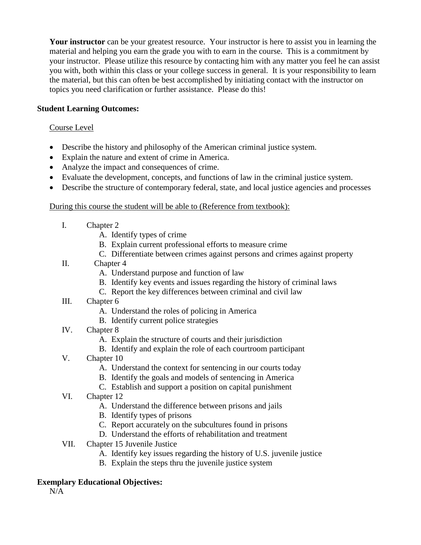**Your instructor** can be your greatest resource. Your instructor is here to assist you in learning the material and helping you earn the grade you with to earn in the course. This is a commitment by your instructor. Please utilize this resource by contacting him with any matter you feel he can assist you with, both within this class or your college success in general. It is your responsibility to learn the material, but this can often be best accomplished by initiating contact with the instructor on topics you need clarification or further assistance. Please do this!

# **Student Learning Outcomes:**

## Course Level

- Describe the history and philosophy of the American criminal justice system.
- Explain the nature and extent of crime in America.
- Analyze the impact and consequences of crime.
- Evaluate the development, concepts, and functions of law in the criminal justice system.
- Describe the structure of contemporary federal, state, and local justice agencies and processes

## During this course the student will be able to (Reference from textbook):

- I. Chapter 2
	- A. Identify types of crime
	- B. Explain current professional efforts to measure crime
	- C. Differentiate between crimes against persons and crimes against property
- II. Chapter 4
	- A. Understand purpose and function of law
	- B. Identify key events and issues regarding the history of criminal laws
	- C. Report the key differences between criminal and civil law
- III. Chapter 6
	- A. Understand the roles of policing in America
	- B. Identify current police strategies
- IV. Chapter 8
	- A. Explain the structure of courts and their jurisdiction
	- B. Identify and explain the role of each courtroom participant
- V. Chapter 10
	- A. Understand the context for sentencing in our courts today
	- B. Identify the goals and models of sentencing in America
	- C. Establish and support a position on capital punishment
- VI. Chapter 12
	- A. Understand the difference between prisons and jails
	- B. Identify types of prisons
	- C. Report accurately on the subcultures found in prisons
	- D. Understand the efforts of rehabilitation and treatment
- VII. Chapter 15 Juvenile Justice
	- A. Identify key issues regarding the history of U.S. juvenile justice
	- B. Explain the steps thru the juvenile justice system

## **Exemplary Educational Objectives:**

N/A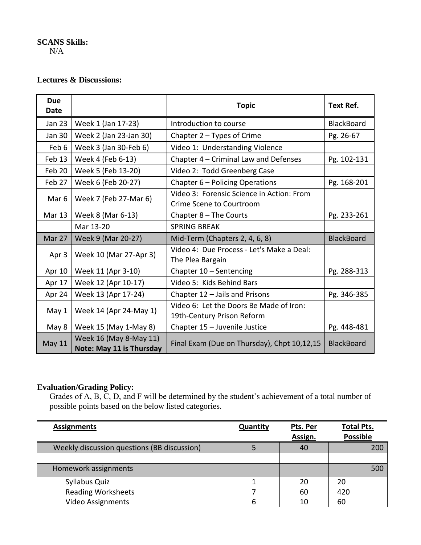# **SCANS Skills:**

N/A

## **Lectures & Discussions:**

| <b>Due</b><br>Date |                                                           | <b>Topic</b>                                                          | <b>Text Ref.</b>  |
|--------------------|-----------------------------------------------------------|-----------------------------------------------------------------------|-------------------|
| <b>Jan 23</b>      | Week 1 (Jan 17-23)                                        | Introduction to course                                                | <b>BlackBoard</b> |
| <b>Jan 30</b>      | Week 2 (Jan 23-Jan 30)                                    | Chapter $2 - Types$ of Crime                                          | Pg. 26-67         |
| Feb 6              | Week 3 (Jan 30-Feb 6)                                     | Video 1: Understanding Violence                                       |                   |
| Feb 13             | Week 4 (Feb 6-13)                                         | Chapter 4 - Criminal Law and Defenses                                 | Pg. 102-131       |
| Feb 20             | Week 5 (Feb 13-20)                                        | Video 2: Todd Greenberg Case                                          |                   |
| Feb 27             | Week 6 (Feb 20-27)                                        | Chapter 6 - Policing Operations                                       | Pg. 168-201       |
| Mar <sub>6</sub>   | Week 7 (Feb 27-Mar 6)                                     | Video 3: Forensic Science in Action: From<br>Crime Scene to Courtroom |                   |
| <b>Mar 13</b>      | Week 8 (Mar 6-13)                                         | Chapter $8$ – The Courts                                              | Pg. 233-261       |
|                    | Mar 13-20                                                 | <b>SPRING BREAK</b>                                                   |                   |
| Mar 27             | Week 9 (Mar 20-27)                                        | Mid-Term (Chapters 2, 4, 6, 8)                                        | <b>BlackBoard</b> |
| Apr 3              | Week 10 (Mar 27-Apr 3)                                    | Video 4: Due Process - Let's Make a Deal:<br>The Plea Bargain         |                   |
| Apr 10             | Week 11 (Apr 3-10)                                        | Chapter 10 - Sentencing                                               | Pg. 288-313       |
| Apr 17             | Week 12 (Apr 10-17)                                       | Video 5: Kids Behind Bars                                             |                   |
| Apr 24             | Week 13 (Apr 17-24)                                       | Chapter 12 - Jails and Prisons                                        | Pg. 346-385       |
| May 1              | Week 14 (Apr 24-May 1)                                    | Video 6: Let the Doors Be Made of Iron:<br>19th-Century Prison Reform |                   |
| May 8              | Week 15 (May 1-May 8)                                     | Chapter 15 - Juvenile Justice                                         |                   |
| <b>May 11</b>      | Week 16 (May 8-May 11)<br><b>Note: May 11 is Thursday</b> | Final Exam (Due on Thursday), Chpt 10,12,15                           | <b>BlackBoard</b> |

# **Evaluation/Grading Policy:**

Grades of A, B, C, D, and F will be determined by the student's achievement of a total number of possible points based on the below listed categories.

| <b>Assignments</b>                          | Quantity | Pts. Per | <b>Total Pts.</b> |
|---------------------------------------------|----------|----------|-------------------|
|                                             |          | Assign.  | <b>Possible</b>   |
| Weekly discussion questions (BB discussion) |          | 40       | 200               |
|                                             |          |          |                   |
| Homework assignments                        |          |          | 500               |
| Syllabus Quiz                               |          | 20       | 20                |
| <b>Reading Worksheets</b>                   |          | 60       | 420               |
| Video Assignments                           | 6        | 10       | 60                |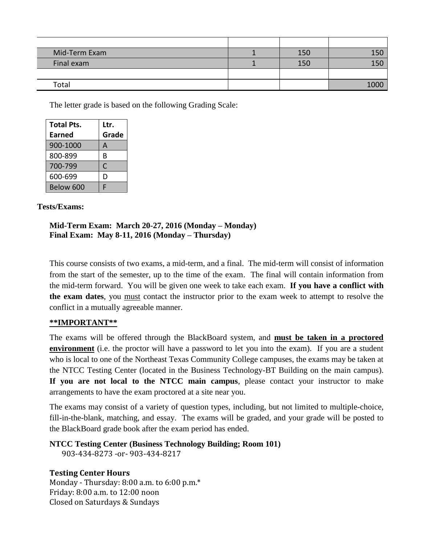| Mid-Term Exam | 150 |      |
|---------------|-----|------|
| Final exam    | 150 | 150  |
|               |     |      |
| Total         |     | 1000 |

The letter grade is based on the following Grading Scale:

| <b>Total Pts.</b> | Ltr.  |
|-------------------|-------|
| Earned            | Grade |
| 900-1000          | А     |
| 800-899           | B     |
| 700-799           | C     |
| 600-699           | D     |
| Below 600         | г     |

## **Tests/Exams:**

#### **Mid-Term Exam: March 20-27, 2016 (Monday – Monday) Final Exam: May 8-11, 2016 (Monday – Thursday)**

This course consists of two exams, a mid-term, and a final. The mid-term will consist of information from the start of the semester, up to the time of the exam. The final will contain information from the mid-term forward. You will be given one week to take each exam. **If you have a conflict with the exam dates**, you must contact the instructor prior to the exam week to attempt to resolve the conflict in a mutually agreeable manner.

## **\*\*IMPORTANT\*\***

The exams will be offered through the BlackBoard system, and **must be taken in a proctored environment** (i.e. the proctor will have a password to let you into the exam). If you are a student who is local to one of the Northeast Texas Community College campuses, the exams may be taken at the NTCC Testing Center (located in the Business Technology-BT Building on the main campus). **If you are not local to the NTCC main campus**, please contact your instructor to make arrangements to have the exam proctored at a site near you.

The exams may consist of a variety of question types, including, but not limited to multiple-choice, fill-in-the-blank, matching, and essay. The exams will be graded, and your grade will be posted to the BlackBoard grade book after the exam period has ended.

**NTCC Testing Center (Business Technology Building; Room 101)** 903-434-8273 -or- 903-434-8217

**Testing Center Hours** Monday - Thursday: 8:00 a.m. to 6:00 p.m.\* Friday: 8:00 a.m. to 12:00 noon Closed on Saturdays & Sundays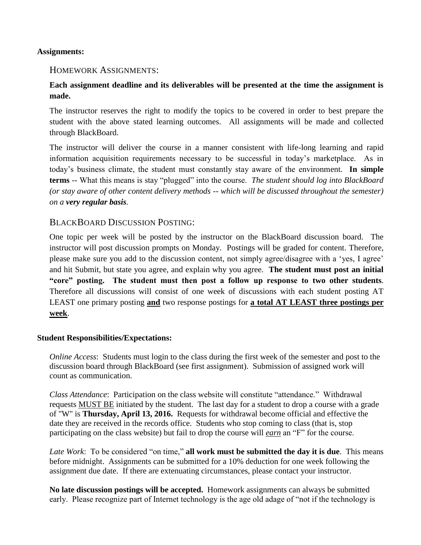#### **Assignments:**

## HOMEWORK ASSIGNMENTS:

# **Each assignment deadline and its deliverables will be presented at the time the assignment is made.**

The instructor reserves the right to modify the topics to be covered in order to best prepare the student with the above stated learning outcomes. All assignments will be made and collected through BlackBoard.

The instructor will deliver the course in a manner consistent with life-long learning and rapid information acquisition requirements necessary to be successful in today's marketplace. As in today's business climate, the student must constantly stay aware of the environment. **In simple terms** -- What this means is stay "plugged" into the course. *The student should log into BlackBoard (or stay aware of other content delivery methods -- which will be discussed throughout the semester) on a very regular basis.*

# BLACKBOARD DISCUSSION POSTING:

One topic per week will be posted by the instructor on the BlackBoard discussion board. The instructor will post discussion prompts on Monday. Postings will be graded for content. Therefore, please make sure you add to the discussion content, not simply agree/disagree with a 'yes, I agree' and hit Submit, but state you agree, and explain why you agree. **The student must post an initial "core" posting. The student must then post a follow up response to two other students**. Therefore all discussions will consist of one week of discussions with each student posting AT LEAST one primary posting **and** two response postings for **a total AT LEAST three postings per week**.

#### **Student Responsibilities/Expectations:**

*Online Access*: Students must login to the class during the first week of the semester and post to the discussion board through BlackBoard (see first assignment). Submission of assigned work will count as communication.

*Class Attendance*: Participation on the class website will constitute "attendance." Withdrawal requests MUST BE initiated by the student. The last day for a student to drop a course with a grade of "W" is **Thursday, April 13, 2016.** Requests for withdrawal become official and effective the date they are received in the records office. Students who stop coming to class (that is, stop participating on the class website) but fail to drop the course will *earn* an "F" for the course.

*Late Work*: To be considered "on time," **all work must be submitted the day it is due**. This means before midnight. Assignments can be submitted for a 10% deduction for one week following the assignment due date. If there are extenuating circumstances, please contact your instructor.

**No late discussion postings will be accepted.** Homework assignments can always be submitted early. Please recognize part of Internet technology is the age old adage of "not if the technology is